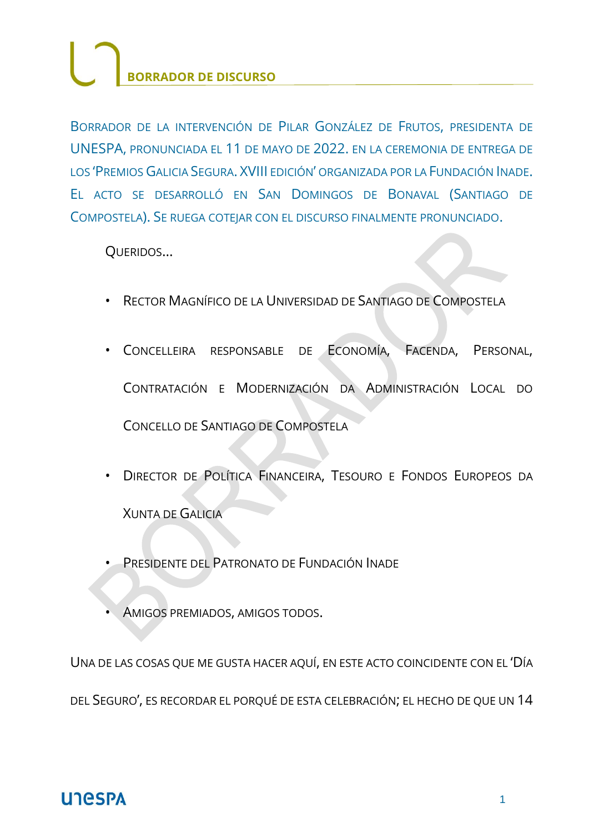BORRADOR DE LA INTERVENCIÓN DE PILAR GONZÁLEZ DE FRUTOS, PRESIDENTA DE UNESPA, PRONUNCIADA EL 11 DE MAYO DE 2022. EN LA CEREMONIA DE ENTREGA DE LOS 'PREMIOS GALICIA SEGURA. XVIII EDICIÓN' ORGANIZADA POR LA FUNDACIÓN INADE. EL ACTO SE DESARROLLÓ EN SAN DOMINGOS DE BONAVAL (SANTIAGO DE COMPOSTELA). SE RUEGA COTEJAR CON EL DISCURSO FINALMENTE PRONUNCIADO.

QUERIDOS…

- RECTOR MAGNÍFICO DE LA UNIVERSIDAD DE SANTIAGO DE COMPOSTELA
- CONCELLEIRA RESPONSABLE DE ECONOMÍA, FACENDA, PERSONAL, CONTRATACIÓN E MODERNIZACIÓN DA ADMINISTRACIÓN LOCAL DO CONCELLO DE SANTIAGO DE COMPOSTELA
- DIRECTOR DE POLÍTICA FINANCEIRA, TESOURO E FONDOS EUROPEOS DA XUNTA DE GALICIA
- PRESIDENTE DEL PATRONATO DE FUNDACIÓN INADE
- AMIGOS PREMIADOS, AMIGOS TODOS.

UNA DE LAS COSAS QUE ME GUSTA HACER AQUÍ, EN ESTE ACTO COINCIDENTE CON EL 'DÍA DEL SEGURO', ES RECORDAR EL PORQUÉ DE ESTA CELEBRACIÓN; EL HECHO DE QUE UN 14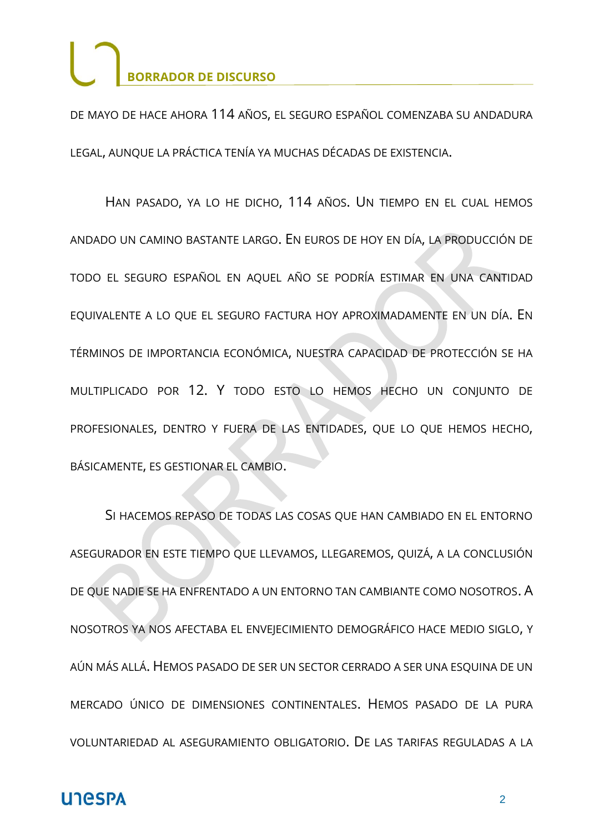DE MAYO DE HACE AHORA 114 AÑOS, EL SEGURO ESPAÑOL COMENZABA SU ANDADURA LEGAL, AUNQUE LA PRÁCTICA TENÍA YA MUCHAS DÉCADAS DE EXISTENCIA.

HAN PASADO, YA LO HE DICHO, 114 AÑOS. UN TIEMPO EN EL CUAL HEMOS ANDADO UN CAMINO BASTANTE LARGO. EN EUROS DE HOY EN DÍA, LA PRODUCCIÓN DE TODO EL SEGURO ESPAÑOL EN AQUEL AÑO SE PODRÍA ESTIMAR EN UNA CANTIDAD EQUIVALENTE A LO QUE EL SEGURO FACTURA HOY APROXIMADAMENTE EN UN DÍA. EN TÉRMINOS DE IMPORTANCIA ECONÓMICA, NUESTRA CAPACIDAD DE PROTECCIÓN SE HA MULTIPLICADO POR 12. Y TODO ESTO LO HEMOS HECHO UN CONJUNTO DE PROFESIONALES, DENTRO Y FUERA DE LAS ENTIDADES, QUE LO QUE HEMOS HECHO, BÁSICAMENTE, ES GESTIONAR EL CAMBIO.

SI HACEMOS REPASO DE TODAS LAS COSAS QUE HAN CAMBIADO EN EL ENTORNO ASEGURADOR EN ESTE TIEMPO QUE LLEVAMOS, LLEGAREMOS, QUIZÁ, A LA CONCLUSIÓN DE QUE NADIE SE HA ENFRENTADO A UN ENTORNO TAN CAMBIANTE COMO NOSOTROS. A NOSOTROS YA NOS AFECTABA EL ENVEJECIMIENTO DEMOGRÁFICO HACE MEDIO SIGLO, Y AÚN MÁS ALLÁ. HEMOS PASADO DE SER UN SECTOR CERRADO A SER UNA ESQUINA DE UN MERCADO ÚNICO DE DIMENSIONES CONTINENTALES. HEMOS PASADO DE LA PURA VOLUNTARIEDAD AL ASEGURAMIENTO OBLIGATORIO. DE LAS TARIFAS REGULADAS A LA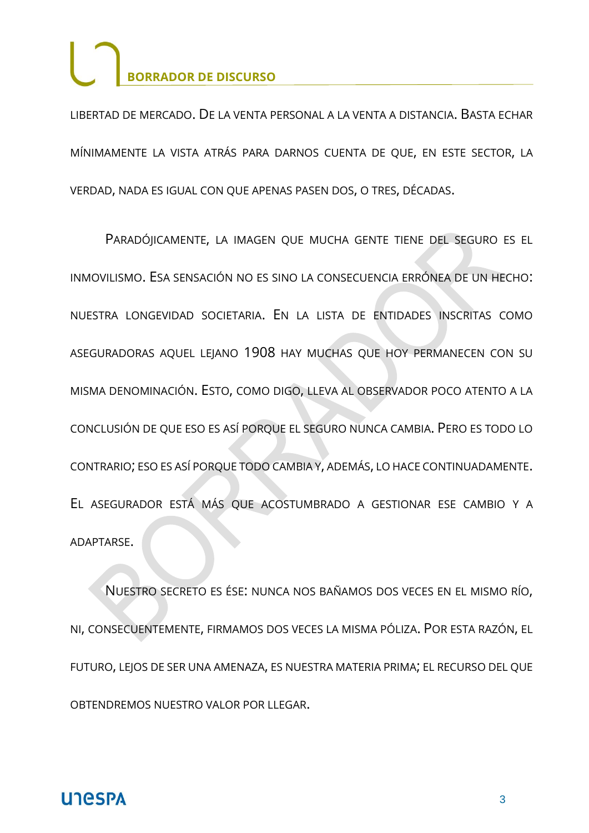LIBERTAD DE MERCADO. DE LA VENTA PERSONAL A LA VENTA A DISTANCIA. BASTA ECHAR MÍNIMAMENTE LA VISTA ATRÁS PARA DARNOS CUENTA DE QUE, EN ESTE SECTOR, LA VERDAD, NADA ES IGUAL CON QUE APENAS PASEN DOS, O TRES, DÉCADAS.

PARADÓJICAMENTE, LA IMAGEN QUE MUCHA GENTE TIENE DEL SEGURO ES EL INMOVILISMO. ESA SENSACIÓN NO ES SINO LA CONSECUENCIA ERRÓNEA DE UN HECHO: NUESTRA LONGEVIDAD SOCIETARIA. EN LA LISTA DE ENTIDADES INSCRITAS COMO ASEGURADORAS AQUEL LEJANO 1908 HAY MUCHAS QUE HOY PERMANECEN CON SU MISMA DENOMINACIÓN. ESTO, COMO DIGO, LLEVA AL OBSERVADOR POCO ATENTO A LA CONCLUSIÓN DE QUE ESO ES ASÍ PORQUE EL SEGURO NUNCA CAMBIA. PERO ES TODO LO CONTRARIO; ESO ES ASÍ PORQUE TODO CAMBIA Y, ADEMÁS, LO HACE CONTINUADAMENTE. EL ASEGURADOR ESTÁ MÁS QUE ACOSTUMBRADO A GESTIONAR ESE CAMBIO Y A ADAPTARSE.

NUESTRO SECRETO ES ÉSE: NUNCA NOS BAÑAMOS DOS VECES EN EL MISMO RÍO, NI, CONSECUENTEMENTE, FIRMAMOS DOS VECES LA MISMA PÓLIZA. POR ESTA RAZÓN, EL FUTURO, LEJOS DE SER UNA AMENAZA, ES NUESTRA MATERIA PRIMA; EL RECURSO DEL QUE OBTENDREMOS NUESTRO VALOR POR LLEGAR.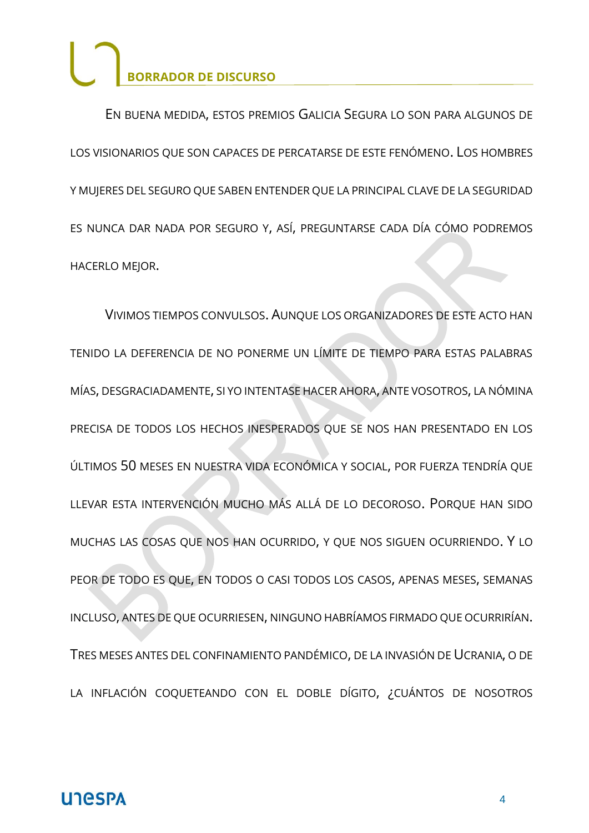EN BUENA MEDIDA, ESTOS PREMIOS GALICIA SEGURA LO SON PARA ALGUNOS DE LOS VISIONARIOS QUE SON CAPACES DE PERCATARSE DE ESTE FENÓMENO. LOS HOMBRES Y MUJERES DEL SEGURO QUE SABEN ENTENDER QUE LA PRINCIPAL CLAVE DE LA SEGURIDAD ES NUNCA DAR NADA POR SEGURO Y, ASÍ, PREGUNTARSE CADA DÍA CÓMO PODREMOS HACERLO MEJOR.

VIVIMOS TIEMPOS CONVULSOS. AUNQUE LOS ORGANIZADORES DE ESTE ACTO HAN TENIDO LA DEFERENCIA DE NO PONERME UN LÍMITE DE TIEMPO PARA ESTAS PALABRAS MÍAS, DESGRACIADAMENTE, SI YO INTENTASE HACER AHORA, ANTE VOSOTROS, LA NÓMINA PRECISA DE TODOS LOS HECHOS INESPERADOS QUE SE NOS HAN PRESENTADO EN LOS ÚLTIMOS 50 MESES EN NUESTRA VIDA ECONÓMICA Y SOCIAL, POR FUERZA TENDRÍA QUE LLEVAR ESTA INTERVENCIÓN MUCHO MÁS ALLÁ DE LO DECOROSO. PORQUE HAN SIDO MUCHAS LAS COSAS QUE NOS HAN OCURRIDO, Y QUE NOS SIGUEN OCURRIENDO. Y LO PEOR DE TODO ES QUE, EN TODOS O CASI TODOS LOS CASOS, APENAS MESES, SEMANAS INCLUSO, ANTES DE QUE OCURRIESEN, NINGUNO HABRÍAMOS FIRMADO QUE OCURRIRÍAN. TRES MESES ANTES DEL CONFINAMIENTO PANDÉMICO, DE LA INVASIÓN DE UCRANIA, O DE LA INFLACIÓN COQUETEANDO CON EL DOBLE DÍGITO, ¿CUÁNTOS DE NOSOTROS

#### **UNESPA**

4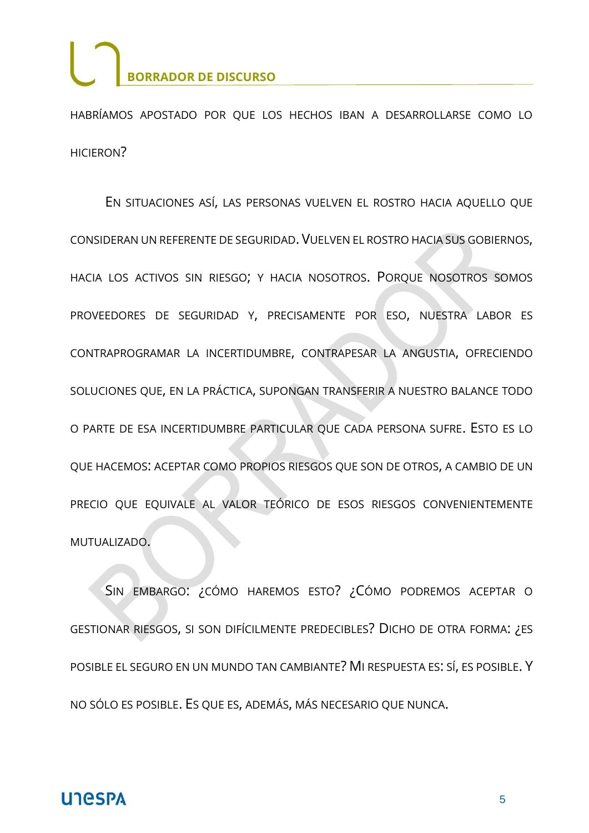HABRÍAMOS APOSTADO POR QUE LOS HECHOS IBAN A DESARROLLARSE COMO LO HICIERON?

EN SITUACIONES ASÍ, LAS PERSONAS VUELVEN EL ROSTRO HACIA AQUELLO QUE CONSIDERAN UN REFERENTE DE SEGURIDAD. VUELVEN EL ROSTRO HACIA SUS GOBIERNOS, HACIA LOS ACTIVOS SIN RIESGO; Y HACIA NOSOTROS. PORQUE NOSOTROS SOMOS PROVEEDORES DE SEGURIDAD Y, PRECISAMENTE POR ESO, NUESTRA LABOR ES CONTRAPROGRAMAR LA INCERTIDUMBRE, CONTRAPESAR LA ANGUSTIA, OFRECIENDO SOLUCIONES QUE, EN LA PRÁCTICA, SUPONGAN TRANSFERIR A NUESTRO BALANCE TODO O PARTE DE ESA INCERTIDUMBRE PARTICULAR QUE CADA PERSONA SUFRE. ESTO ES LO QUE HACEMOS: ACEPTAR COMO PROPIOS RIESGOS QUE SON DE OTROS, A CAMBIO DE UN PRECIO QUE EQUIVALE AL VALOR TEÓRICO DE ESOS RIESGOS CONVENIENTEMENTE MUTUALIZADO.

SIN EMBARGO: ¿CÓMO HAREMOS ESTO? ¿CÓMO PODREMOS ACEPTAR O GESTIONAR RIESGOS, SI SON DIFÍCILMENTE PREDECIBLES? DICHO DE OTRA FORMA: ¿ES POSIBLE EL SEGURO EN UN MUNDO TAN CAMBIANTE? MI RESPUESTA ES: SÍ, ES POSIBLE. Y NO SÓLO ES POSIBLE. ES QUE ES, ADEMÁS, MÁS NECESARIO QUE NUNCA.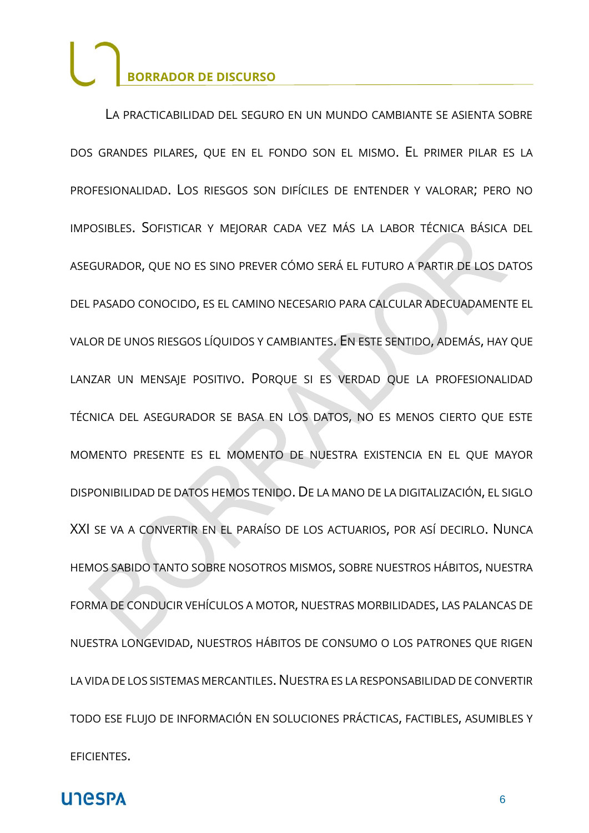LA PRACTICABILIDAD DEL SEGURO EN UN MUNDO CAMBIANTE SE ASIENTA SOBRE DOS GRANDES PILARES, QUE EN EL FONDO SON EL MISMO. EL PRIMER PILAR ES LA PROFESIONALIDAD. LOS RIESGOS SON DIFÍCILES DE ENTENDER Y VALORAR; PERO NO IMPOSIBLES. SOFISTICAR Y MEJORAR CADA VEZ MÁS LA LABOR TÉCNICA BÁSICA DEL ASEGURADOR, QUE NO ES SINO PREVER CÓMO SERÁ EL FUTURO A PARTIR DE LOS DATOS DEL PASADO CONOCIDO, ES EL CAMINO NECESARIO PARA CALCULAR ADECUADAMENTE EL VALOR DE UNOS RIESGOS LÍQUIDOS Y CAMBIANTES. EN ESTE SENTIDO, ADEMÁS, HAY QUE LANZAR UN MENSAJE POSITIVO. PORQUE SI ES VERDAD QUE LA PROFESIONALIDAD TÉCNICA DEL ASEGURADOR SE BASA EN LOS DATOS, NO ES MENOS CIERTO QUE ESTE MOMENTO PRESENTE ES EL MOMENTO DE NUESTRA EXISTENCIA EN EL QUE MAYOR DISPONIBILIDAD DE DATOS HEMOS TENIDO. DE LA MANO DE LA DIGITALIZACIÓN, EL SIGLO XXI SE VA A CONVERTIR EN EL PARAÍSO DE LOS ACTUARIOS, POR ASÍ DECIRLO. NUNCA HEMOS SABIDO TANTO SOBRE NOSOTROS MISMOS, SOBRE NUESTROS HÁBITOS, NUESTRA FORMA DE CONDUCIR VEHÍCULOS A MOTOR, NUESTRAS MORBILIDADES, LAS PALANCAS DE NUESTRA LONGEVIDAD, NUESTROS HÁBITOS DE CONSUMO O LOS PATRONES QUE RIGEN LA VIDA DE LOS SISTEMAS MERCANTILES. NUESTRA ES LA RESPONSABILIDAD DE CONVERTIR TODO ESE FLUJO DE INFORMACIÓN EN SOLUCIONES PRÁCTICAS, FACTIBLES, ASUMIBLES Y EFICIENTES.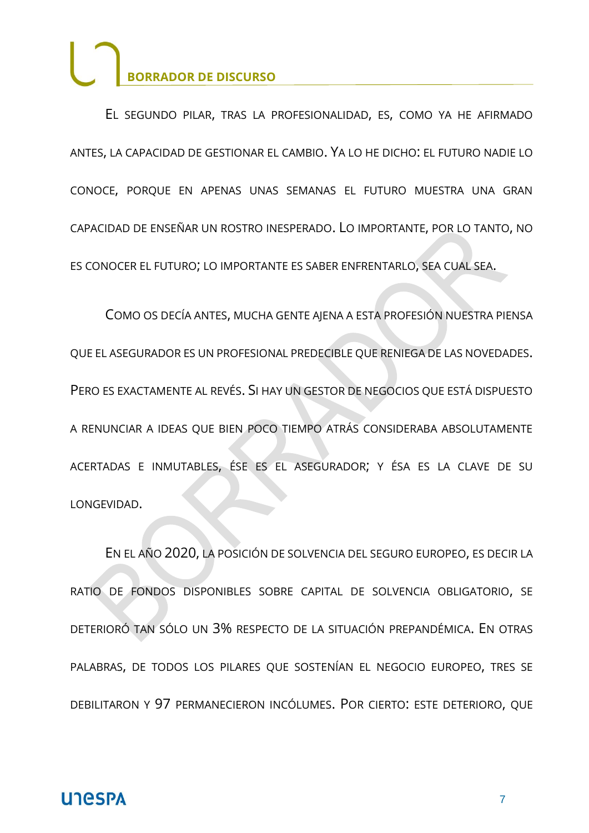EL SEGUNDO PILAR, TRAS LA PROFESIONALIDAD, ES, COMO YA HE AFIRMADO ANTES, LA CAPACIDAD DE GESTIONAR EL CAMBIO. YA LO HE DICHO: EL FUTURO NADIE LO CONOCE, PORQUE EN APENAS UNAS SEMANAS EL FUTURO MUESTRA UNA GRAN CAPACIDAD DE ENSEÑAR UN ROSTRO INESPERADO. LO IMPORTANTE, POR LO TANTO, NO ES CONOCER EL FUTURO; LO IMPORTANTE ES SABER ENFRENTARLO, SEA CUAL SEA.

COMO OS DECÍA ANTES, MUCHA GENTE AJENA A ESTA PROFESIÓN NUESTRA PIENSA QUE EL ASEGURADOR ES UN PROFESIONAL PREDECIBLE QUE RENIEGA DE LAS NOVEDADES. PERO ES EXACTAMENTE AL REVÉS. SI HAY UN GESTOR DE NEGOCIOS QUE ESTÁ DISPUESTO A RENUNCIAR A IDEAS QUE BIEN POCO TIEMPO ATRÁS CONSIDERABA ABSOLUTAMENTE ACERTADAS E INMUTABLES, ÉSE ES EL ASEGURADOR; Y ÉSA ES LA CLAVE DE SU LONGEVIDAD.

EN EL AÑO 2020, LA POSICIÓN DE SOLVENCIA DEL SEGURO EUROPEO, ES DECIR LA RATIO DE FONDOS DISPONIBLES SOBRE CAPITAL DE SOLVENCIA OBLIGATORIO, SE DETERIORÓ TAN SÓLO UN 3% RESPECTO DE LA SITUACIÓN PREPANDÉMICA. EN OTRAS PALABRAS, DE TODOS LOS PILARES QUE SOSTENÍAN EL NEGOCIO EUROPEO, TRES SE DEBILITARON Y 97 PERMANECIERON INCÓLUMES. POR CIERTO: ESTE DETERIORO, QUE

#### **UNESPA**

7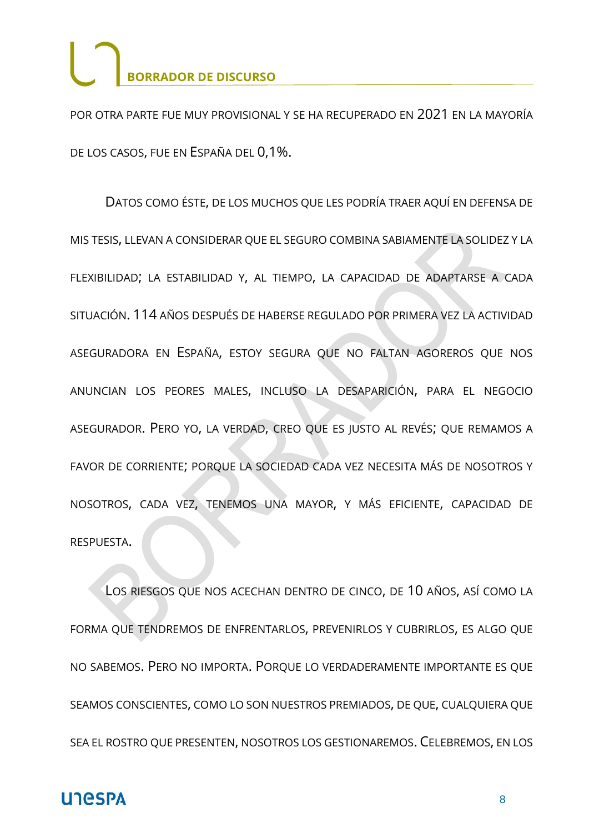POR OTRA PARTE FUE MUY PROVISIONAL Y SE HA RECUPERADO EN 2021 EN LA MAYORÍA DE LOS CASOS, FUE EN ESPAÑA DEL 0,1%.

DATOS COMO ÉSTE, DE LOS MUCHOS QUE LES PODRÍA TRAER AQUÍ EN DEFENSA DE MIS TESIS, LLEVAN A CONSIDERAR QUE EL SEGURO COMBINA SABIAMENTE LA SOLIDEZ Y LA FLEXIBILIDAD; LA ESTABILIDAD Y, AL TIEMPO, LA CAPACIDAD DE ADAPTARSE A CADA SITUACIÓN. 114 AÑOS DESPUÉS DE HABERSE REGULADO POR PRIMERA VEZ LA ACTIVIDAD ASEGURADORA EN ESPAÑA, ESTOY SEGURA QUE NO FALTAN AGOREROS QUE NOS ANUNCIAN LOS PEORES MALES, INCLUSO LA DESAPARICIÓN, PARA EL NEGOCIO ASEGURADOR. PERO YO, LA VERDAD, CREO QUE ES JUSTO AL REVÉS; QUE REMAMOS A FAVOR DE CORRIENTE; PORQUE LA SOCIEDAD CADA VEZ NECESITA MÁS DE NOSOTROS Y NOSOTROS, CADA VEZ, TENEMOS UNA MAYOR, Y MÁS EFICIENTE, CAPACIDAD DE RESPUESTA.

LOS RIESGOS QUE NOS ACECHAN DENTRO DE CINCO, DE 10 AÑOS, ASÍ COMO LA FORMA QUE TENDREMOS DE ENFRENTARLOS, PREVENIRLOS Y CUBRIRLOS, ES ALGO QUE NO SABEMOS. PERO NO IMPORTA. PORQUE LO VERDADERAMENTE IMPORTANTE ES QUE SEAMOS CONSCIENTES, COMO LO SON NUESTROS PREMIADOS, DE QUE, CUALQUIERA QUE SEA EL ROSTRO QUE PRESENTEN, NOSOTROS LOS GESTIONAREMOS. CELEBREMOS, EN LOS